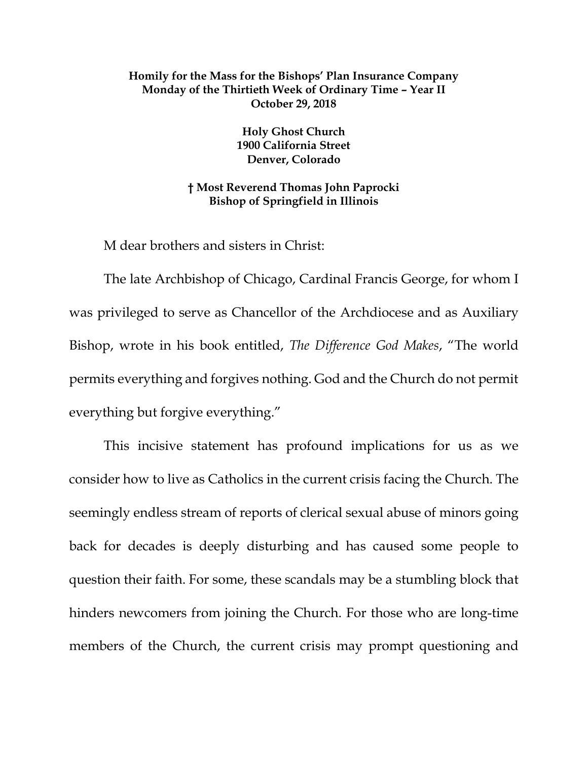## **Homily for the Mass for the Bishops' Plan Insurance Company Monday of the Thirtieth Week of Ordinary Time – Year II October 29, 2018**

**Holy Ghost Church 1900 California Street Denver, Colorado**

**† Most Reverend Thomas John Paprocki Bishop of Springfield in Illinois**

M dear brothers and sisters in Christ:

The late Archbishop of Chicago, Cardinal Francis George, for whom I was privileged to serve as Chancellor of the Archdiocese and as Auxiliary Bishop, wrote in his book entitled, *The Difference God Makes*, "The world permits everything and forgives nothing. God and the Church do not permit everything but forgive everything."

This incisive statement has profound implications for us as we consider how to live as Catholics in the current crisis facing the Church. The seemingly endless stream of reports of clerical sexual abuse of minors going back for decades is deeply disturbing and has caused some people to question their faith. For some, these scandals may be a stumbling block that hinders newcomers from joining the Church. For those who are long-time members of the Church, the current crisis may prompt questioning and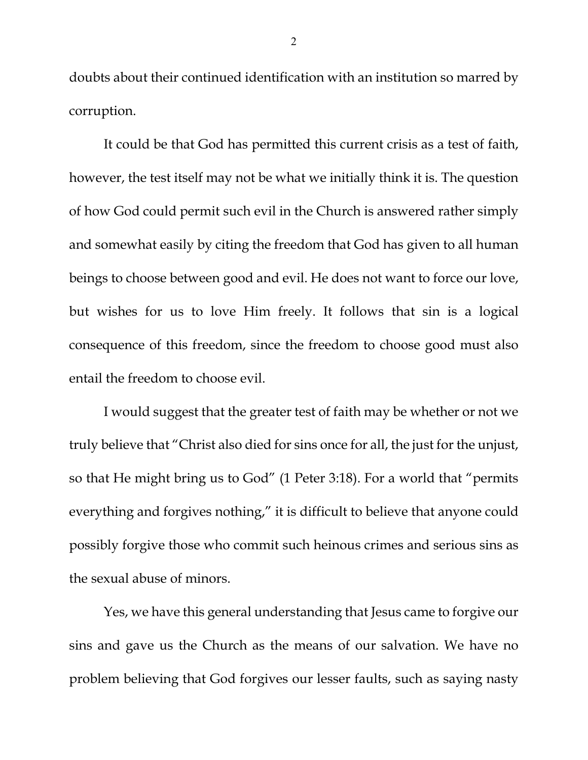doubts about their continued identification with an institution so marred by corruption.

It could be that God has permitted this current crisis as a test of faith, however, the test itself may not be what we initially think it is. The question of how God could permit such evil in the Church is answered rather simply and somewhat easily by citing the freedom that God has given to all human beings to choose between good and evil. He does not want to force our love, but wishes for us to love Him freely. It follows that sin is a logical consequence of this freedom, since the freedom to choose good must also entail the freedom to choose evil.

I would suggest that the greater test of faith may be whether or not we truly believe that "Christ also died for sins once for all, the just for the unjust, so that He might bring us to God" (1 Peter 3:18). For a world that "permits everything and forgives nothing," it is difficult to believe that anyone could possibly forgive those who commit such heinous crimes and serious sins as the sexual abuse of minors.

Yes, we have this general understanding that Jesus came to forgive our sins and gave us the Church as the means of our salvation. We have no problem believing that God forgives our lesser faults, such as saying nasty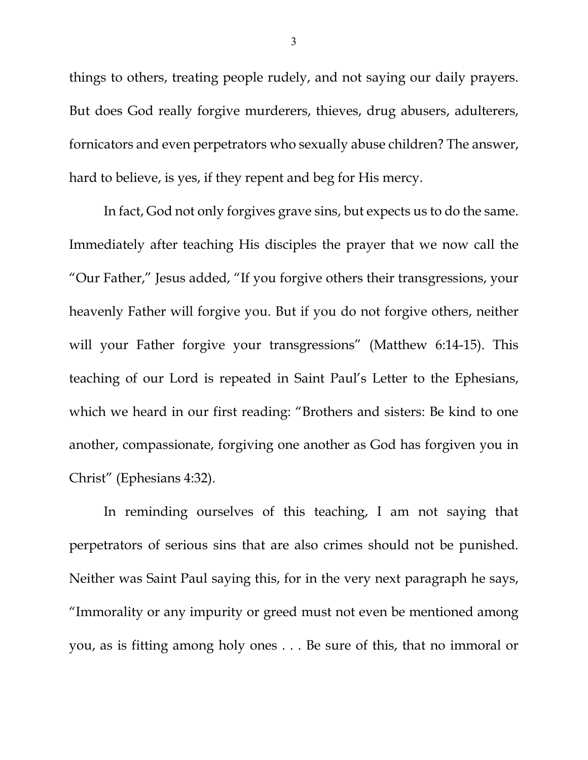things to others, treating people rudely, and not saying our daily prayers. But does God really forgive murderers, thieves, drug abusers, adulterers, fornicators and even perpetrators who sexually abuse children? The answer, hard to believe, is yes, if they repent and beg for His mercy.

In fact, God not only forgives grave sins, but expects us to do the same. Immediately after teaching His disciples the prayer that we now call the "Our Father," Jesus added, "If you forgive others their transgressions, your heavenly Father will forgive you. But if you do not forgive others, neither will your Father forgive your transgressions" (Matthew 6:14-15). This teaching of our Lord is repeated in Saint Paul's Letter to the Ephesians, which we heard in our first reading: "Brothers and sisters: Be kind to one another, compassionate, forgiving one another as God has forgiven you in Christ" (Ephesians 4:32).

In reminding ourselves of this teaching, I am not saying that perpetrators of serious sins that are also crimes should not be punished. Neither was Saint Paul saying this, for in the very next paragraph he says, "Immorality or any impurity or greed must not even be mentioned among you, as is fitting among holy ones . . . Be sure of this, that no immoral or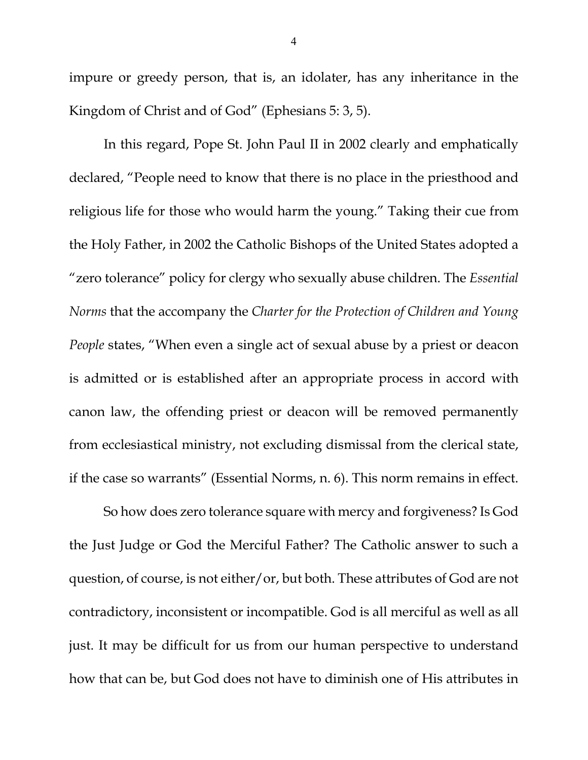impure or greedy person, that is, an idolater, has any inheritance in the Kingdom of Christ and of God" (Ephesians 5: 3, 5).

In this regard, Pope St. John Paul II in 2002 clearly and emphatically declared, "People need to know that there is no place in the priesthood and religious life for those who would harm the young." Taking their cue from the Holy Father, in 2002 the Catholic Bishops of the United States adopted a "zero tolerance" policy for clergy who sexually abuse children. The *Essential Norms* that the accompany the *Charter for the Protection of Children and Young People* states, "When even a single act of sexual abuse by a priest or deacon is admitted or is established after an appropriate process in accord with canon law, the offending priest or deacon will be removed permanently from ecclesiastical ministry, not excluding dismissal from the clerical state, if the case so warrants" (Essential Norms, n. 6). This norm remains in effect.

So how does zero tolerance square with mercy and forgiveness? Is God the Just Judge or God the Merciful Father? The Catholic answer to such a question, of course, is not either/or, but both. These attributes of God are not contradictory, inconsistent or incompatible. God is all merciful as well as all just. It may be difficult for us from our human perspective to understand how that can be, but God does not have to diminish one of His attributes in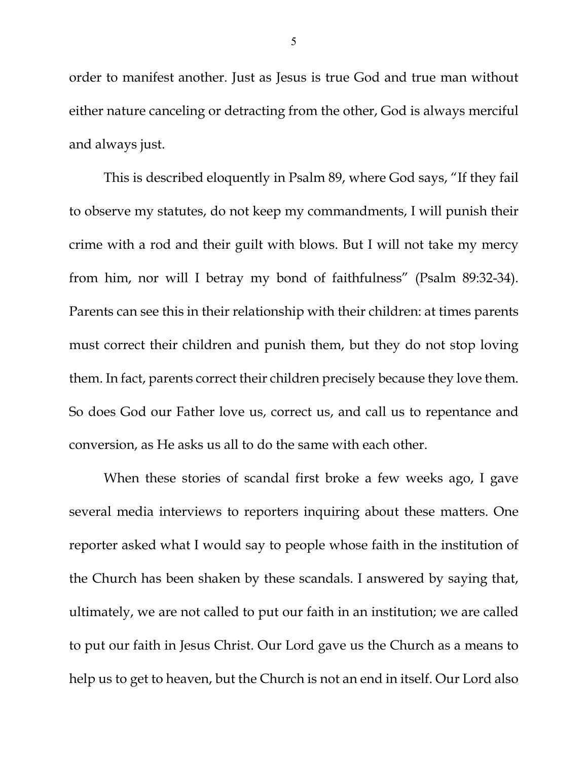order to manifest another. Just as Jesus is true God and true man without either nature canceling or detracting from the other, God is always merciful and always just.

This is described eloquently in Psalm 89, where God says, "If they fail to observe my statutes, do not keep my commandments, I will punish their crime with a rod and their guilt with blows. But I will not take my mercy from him, nor will I betray my bond of faithfulness" (Psalm 89:32-34). Parents can see this in their relationship with their children: at times parents must correct their children and punish them, but they do not stop loving them. In fact, parents correct their children precisely because they love them. So does God our Father love us, correct us, and call us to repentance and conversion, as He asks us all to do the same with each other.

When these stories of scandal first broke a few weeks ago, I gave several media interviews to reporters inquiring about these matters. One reporter asked what I would say to people whose faith in the institution of the Church has been shaken by these scandals. I answered by saying that, ultimately, we are not called to put our faith in an institution; we are called to put our faith in Jesus Christ. Our Lord gave us the Church as a means to help us to get to heaven, but the Church is not an end in itself. Our Lord also